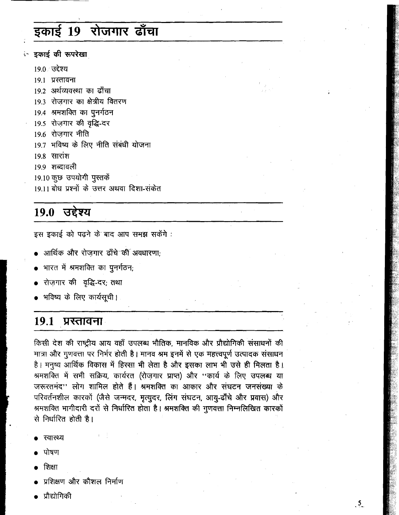# इकाई 19 रोजगार ढाँचा

ं इकाई की रूपरेखा

<u> १९०८ स्टेश्य</u>

19.1 प्रस्तावना 19.2 अर्थव्यवस्था का ढाँचा 193 रोजगार का क्षेत्रीय वितरण 19.4 श्रमशक्ति का पुनर्गठन 19.5 रोजगार की वृद्धि-दर 19.6 रोजगार नीति 19.7 भविष्य के लिए नीति संबंधी योजना  $19.8$  सारांश 19.9 शब्दावली 19.10 कुछ उपयोगी पुस्तकें 19.11 बोध प्रश्नों के उत्तर अथवा दिशा-संकेत

# 19.0 उद्देश्य

इस इकाई को पढने के बाद आप समझ सकेंगे :

- आर्थिक और रोजगार ढाँचे की अवधारणा:
- भारत में श्रमशक्ति का पुनर्गठन;
- रोज़गार की वृद्धि-दर; तथा
- भविष्य के लिए कार्यसूची।

## 19.1 प्रस्तावना

किसी देश की राष्ट्रीय आय वहाँ उपलब्ध भौतिक, मानविक और प्रौद्योगिकी संसाधनों की मात्रा और गुणवत्ता पर निर्भर होती है। मानव श्रम इनमें से एक महत्त्वपूर्ण उत्पादक संसाधन है। मनुष्य आर्थिक विकास में हिस्सा भी लेता है और इसका लाभ भी उसे ही मिलता है। श्रमशक्ति में सभी सक्रिय, कार्यरत (रोज़गार प्राप्त) और ''कार्य के लिए उपलब्ध या जरूरतमंद'' लोग शामिल होते हैं। श्रमशक्ति का आकार और संघटन जनसंख्या के परिवर्तनशील कारकों (जैसे जन्मदर, मृत्युदर, लिंग संघटन, आयु-ढाँचे और प्रवास) और श्रमशक्ति भागीदारी दरों से निर्धारित होता है। श्रमशक्ति की गुणवत्ता निम्नलिखित कारकों से निर्धारित होती है।

- रवास्थ्य
- पोषण
- शिक्षा
- प्रशिक्षण और कौशल निर्माण
- प्रौद्योगिकी

 $\frac{5}{2}$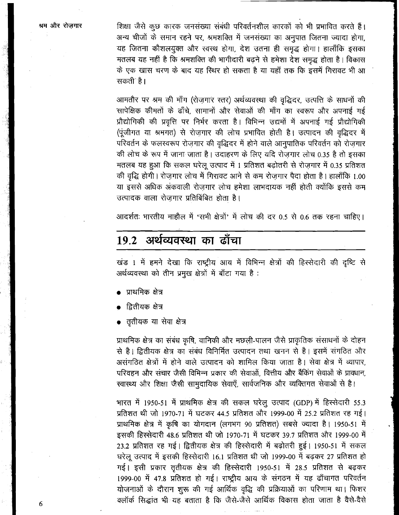शिक्षा जैसे कुछ कारक जनसंख्या संबंधी परिवर्तनशील कारकों को भी प्रभावित करते हैं। अन्य चीजों के समान रहने पर, श्रमशक्ति में जनसंख्या का अनुपात जितना ज्यादा होगा, यह जितना कौशलयुक्त और स्वस्थ होगा, देश उतना ही समुद्ध होगा। हालाँकि इसका मतलब यह नहीं है कि श्रमशक्ति की भागीदारी बढ़ने से हमेशा देश समृद्ध होता है। विकास के एक खास चरण के बाद यह रिथर हो सकता है या यहाँ तक कि इसमें गिरावट भी आ सकती` है ।

आमतौर पर श्रम की माँग (रोज़गार स्तर) अर्थव्यवस्था की वृद्धिदर, उत्पत्ति के साधनों की सापेक्षिक कीमतों के ढाँचे, सामानों और सेवाओं की माँग का स्वरूप और अपनाई गई प्रौद्योगिकी की प्रवृत्ति पर निर्भर करता है। विभिन्न उद्यमों में अपनाई गई प्रौद्योगिकी (पूंजीगत या श्रमगत) से रोज़गार की लोच प्रभावित होती है। उत्पादन की वृद्धिदर में परिवर्तन के फलस्वरूप रोज़गार की वृद्धिदर में होने वाले आनुपातिक परिवर्तन को रोज़गार की लोच के रूप में जाना जाता है। उदाहरण के लिए यदि रोजगार लोच 0.35 है तो इसका मतलब यह हुआ कि सकल घरेलू उत्पाद में 1 प्रतिशत बढ़ोतरी से रोज़गार में 0.35 प्रतिशत की वृद्धि होगी। रोजगार लोच में गिरावट आने से कम रोजगार पैदा होता है। हालाँकि 1.00 या इससे अधिक अंकवाली रोज़गार लोच हमेशा लाभदायक नहीं होती क्योंकि इससे कम उत्पादक वाला रोजगार प्रतिबिंबित होता है।

आदर्शतः भारतीय माहौल में 'सभी क्षेत्रों' में लोच की दर 0.5 से 0.6 तक रहना चाहिए।

# 19.2 अर्थव्यवस्था का ढाँचा

खंड 1 में हमने देखा कि राष्ट्रीय आय में विभिन्न क्षेत्रों की हिस्सेदारी की दृष्टि से अर्थव्यवस्था को तीन प्रमुख क्षेत्रों में बाँटा गया है :

- प्राथमिक क्षेत्र
- द्वितीयक क्षेत्र
- तृतीयक या सेवा क्षेत्र

प्राथमिक क्षेत्र का संबंध कृषि, वानिकी और मछली-पालन जैसे प्राकृतिक संसाधनों के दोहन से है। द्वितीयक क्षेत्र का संबंध विनिर्मित उत्पादन तथा खनन से है। इसमें संगठित और असंगठित क्षेत्रों में होने वाले उत्पादन को शामिल किया जाता है। सेवा क्षेत्र में व्यापार, परिवहन और संचार जैसी विभिन्न प्रकार की सेवाओं, वित्तीय और बैंकिंग सेवाओं के प्रावधान, स्वास्थ्य और शिक्षा जैसी सामुदायिक सेवाएँ, सार्वजनिक और व्यक्तिगत सेवाओं से है।

भारत में 1950-51 में प्राथमिक क्षेत्र की सकल घरेलू उत्पाद (GDP) में हिस्सेदारी 55.3 प्रतिशत थी जो 1970-71 में घटकर 44.5 प्रतिशत और 1999-00 में 25.2 प्रतिशत रह गई। प्राथमिक क्षेत्र में कृषि का योगदान (लगभग 90 प्रतिशत) सबसे ज्यादा है। 1950-51 में इसकी हिस्सेदारी 48.6 प्रतिशत थी जो 1970-71 में घटकर 39.7 प्रतिशत और 1999-00 में 23.2 प्रतिशत रह गई। द्वितीयक क्षेत्र की हिस्सेदारी में बढ़ोतरी हुई। 1950-51 में सकल घरेलू उत्पाद में इसकी हिस्सेदारी 16.1 प्रतिशत थी जो 1999-00 में बढ़कर 27 प्रतिशत हो गई। इसी प्रकार तृतीयक क्षेत्र की हिस्सेदारी 1950-51 में 28.5 प्रतिशत से बढ़कर 1999-00 में 47.8 प्रतिशत हो गई। राष्ट्रीय आय के संगठन में यह ढाँचागत परिवर्तन योजनाओं के दौरान शुरू की गई आर्थिक वृद्धि की प्रक्रियाओं का परिणाम था। फिशर क्लॉर्क सिद्धांत भी यह बताता है कि जैसे-जैसे आर्थिक विकास होता जाता है वैसे-वैसे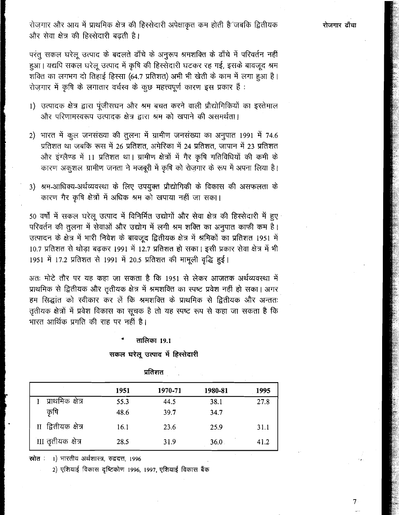रोजगार और आय में प्राथमिक क्षेत्र की हिस्सेदारी अपेक्षाकृत कम होती है⁄ जबकि द्वितीयक और सेवा क्षेत्र की हिस्सेदारी बढ़ती है।

परंतु सकल घरेलू उत्पाद के बदलते ढाँचे के अनुरूप श्रमशक्ति के ढाँचे में परिवर्तन नहीं हुआ। यद्यपि सकल घरेलू उत्पाद में कृषि की हिस्सेदारी घटकर रह गई, इसके बावजूद श्रम .<br>शक्ति का लगभग दो तिहाई हिस्सा (64.7 प्रतिशत) अभी भी खेती के काम में लगा हुआ है। रोजगार में कृषि के लगातार वर्चस्व के कुछ महत्त्वपूर्ण कारण इस प्रकार हैं :

- 1) उत्पादक क्षेत्र द्वारा पूंजीसघन और श्रम बचत करने वाली प्रौद्योगिकियों का इस्तेमाल और परिणामस्वरूप उत्पादक क्षेत्र द्वारा श्रम को खपाने की असमर्थता।
- 2) भारत में कूल जनसंख्या की तूलना में ग्रामीण जनसंख्या का अनुपात 1991 में 74.6 प्रतिशत था जबकि रूस में 26 प्रतिशत, अमेरिका में 24 प्रतिशत, जापान में 23 प्रतिशत और इंग्लैण्ड में 11 प्रतिशत था। ग्रामीण क्षेत्रों में गैर कृषि गतिविधियों की कमी के कारण अकुशल ग्रामीण जनता ने मजबूरी में कृषि को रोज़गार के रूप में अपना लिया है।
- 3) श्रम-आधिक्य-अर्थव्यवस्था के लिए उपयुक्त प्रौद्योगिकी के विकास की असफलता के कारण गैर कृषि क्षेत्रों में अधिक श्रम को खपाया नहीं जा सका।

50 वर्षों में सकल घरेलू उत्पाद में विनिर्मित उद्योगों और सेवा क्षेत्र की हिस्सेदारी में हुए परिवर्तन की तूलना में सेवाओं और उद्योग में लगी श्रम शक्ति का अनुपात काफी कम है। उत्पादन के क्षेत्र में भारी निवेश के बावजूद द्वितीयक क्षेत्र में श्रमिकों का प्रतिशत 1951 में 10.7 प्रतिशत से थोड़ा बढ़कर 1991 में 12.7 प्रतिशत हो सका। इसी प्रकार सेवा क्षेत्र में भी 1951 में 17.2 प्रतिशत से 1991 में 20.5 प्रतिशत की मामूली वृद्धि हुई।

अतः मोटे तौर पर यह कहा जा सकता है कि 1951 से लेकर आजतक अर्थव्यवस्था में प्राथमिक से द्वितीयक और तृतीयक क्षेत्र में श्रमशक्ति का स्पष्ट प्रवेश नहीं हो सका। अगर हम सिद्धांत को स्वीकार कर लें कि श्रमशक्ति के प्राथमिक से द्वितीयक और अन्ततः तृतीयक क्षेत्रों में प्रवेश विकास का सूचक है तो यह स्पष्ट रूप से कहा जा सकता है कि भारत आर्थिक प्रगति की राह पर नहीं है।

### तालिका 19.1

### सकल घरेलू उत्पाद में हिस्सेदारी

|                     | 1951 | 1970-71 | 1980-81 | 1995 |
|---------------------|------|---------|---------|------|
| प्राथमिक क्षेत्र    | 55.3 | 44.5    | 38.1    | 27.8 |
| कृषि                | 48.6 | 39.7    | 34.7    |      |
| II द्वितीयक क्षेत्र | 16.1 | 23.6    | 25.9    | 31.1 |
| III तृतीयक क्षेत्र  | 28.5 | 31.9    | 36.0    | 41.2 |

प्रतिशत

स्रोत : 1) भारतीय अर्थशास्त्र, रुद्रदत्त, 1996

2) एशियाई विकास दृष्टिकोण 1996, 1997, एशियाई विकास बैंक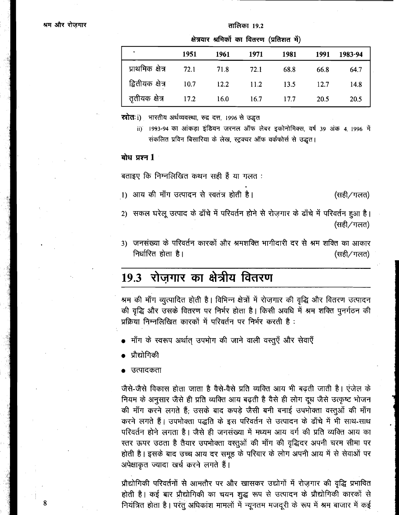### तालिका 19.2

|                  |      | क्षत्रवार श्रामका का वितरण (प्रांतशत म) |      |      |             |         |
|------------------|------|-----------------------------------------|------|------|-------------|---------|
|                  | 1951 | 1961                                    | 1971 | 1981 | 1991        | 1983-94 |
| प्राथमिक क्षेत्र | 72.1 | 71.8                                    | 72.1 | 68.8 | 66.8        | 64.7    |
|                  |      | 12.2                                    | 11.2 | 13.5 | 12.7        | 14.8    |
| तृतीयक क्षेत्र   | 17.2 | 16.0                                    | 16.7 | 17.7 | <b>20.5</b> | 20.5    |

स्त्रोतः i) भारतीय अर्थव्यवस्था, रुद्र दत्त, 1996 से उद्धत

ii) 1993-94 का आंकड़ा इंडियन जरनल ऑफ लेबर इकोनोमिक्स, वर्ष 39 अंक 4, 1996 में संकलित प्रविन बिसारिया के लेख, स्ट्रक्चर ऑफ वर्कफोर्स से उद्धत।

### $\overline{a}$ धि प्रश्न 1

बताइए कि निम्नलिखित कथन सही हैं या गलत:

1) आय की माँग उत्पादन से स्वतंत्र होती है। (सही/गलत)

2) सकल घरेलू उत्पाद के ढाँचे में परिवर्तन होने से रोज़गार के ढाँचे में परिवर्तन हुआ है। (सही/गलत)

3) जनसंख्या के परिवर्तन कारकों और श्रमशक्ति भागीदारी दर से श्रम शक्ति का आकार निर्धारित होता है। (सही/गलत)

# 19.3 रोज़गार का क्षेत्रीय वितरण

श्रम की माँग व्युत्पादित होती है। विभिन्न क्षेत्रों में रोज़गार की वृद्धि और वितरण उत्पादन की वृद्धि और उसके वितरण पर निर्भर होता है। किसी अवधि में श्रम शक्ति पुनर्गठन की प्रक्रिया निम्नलिखित कारकों में परिवर्तन पर निर्भर करती है:

- माँग के स्वरूप अर्थात् उपभोग की जाने वाली वस्तुएँ और सेवाएँ
- प्रौद्योगिकी
- उत्पादकता

जैसे-जैसे विकास होता जाता है वैसे-वैसे प्रति व्यक्ति आय भी बढती जाती है। एंजेल के नियम के अनुसार जैसे ही प्रति व्यक्ति आय बढ़ती है वैसे ही लोग दूध जैसे उत्कृष्ट भोजन की माँग करने लगते हैं; उसके बाद कपड़े जैसी बनी बनाई उपभोक्ता वस्तुओं की माँग करने लगते हैं। उपभोक्ता पद्धति के इस परिवर्तन से उत्पादन के ढाँचे में भी साथ-साथ परिवर्तन होने लगता है। जैसे ही जनसंख्या में मध्यम आय वर्ग की प्रति व्यक्ति आय का स्तर ऊपर उठता है तैयार उपभोक्ता वस्तुओं की माँग की वृद्धिदर अपनी चरम सीमा पर होती है। इसके बाद उच्च आय दर समूह के परिवार के लोग अपनी आय में से सेवाओं पर अपेक्षाकृत ज्यादा खर्च करने लगते हैं।

प्रौद्योगिकी परिवर्तनों से आमतौर पर और खासकर उद्योगों में रोज़गार की वृद्धि प्रभावित होती है। कई बार प्रौद्योगिकी का चयन शुद्ध रूप से उत्पादन के प्रौद्योगिकी कारकों से नियंत्रित होता है। परंतु अधिकांश मामलों में न्यूनतम मजदूरी के रूप में श्रम बाजार में कई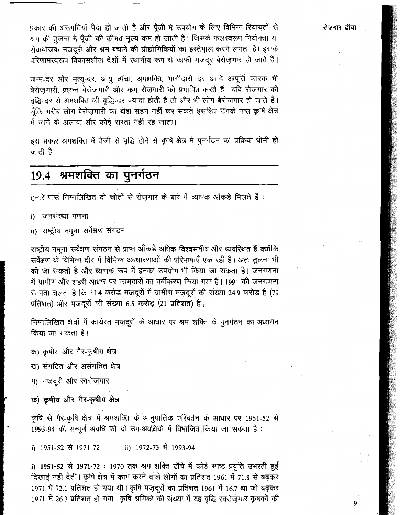प्रकार की असंगतियाँ पैदा हो जाती हैं और पूँजी में उपयोग के लिए विभिन्न रियायतों से श्रम की तुलना में पूँजी की कीमत मूल्य कम हो जाती है। जिसके फलस्वरूप नियोक्ता या सेवायोजक मजदूरी और श्रम बचाने की प्रौद्योगिकियों का इस्तेमाल करने लगता है। इसके परिणामस्वरूप विकासशील देशों में स्थानीय रूप से काफी मजदूर बेरोज़गार हो जाते हैं।

जन्म-दर और मृत्यु-दर, आयु ढाँचा, श्रमशक्ति, भागीदारी दर आदि आपूर्ति कारक भी बेरोजगारी, प्रछन्न बेरोजगारी और कम रोजगारी को प्रभावित करते हैं। यदि रोजगार की वृद्धि-दर से श्रमशक्ति की वृद्धि-दर ज्यादा होती है तो और भी लोग बेरोज़गार हो जाते हैं। चूँकि गरीब लोग बेरोज़गारी का बोझ सहन नहीं कर सकते इसलिए उनके पास कृषि क्षेत्र में जाने के अलावा और कोई रास्ता नहीं रह जाता।

इस प्रकार श्रमशक्ति में तेजी से वृद्धि होने से कृषि क्षेत्र में पुनर्गठन की प्रक्रिया धीमी हो जाती है।

# 19.4 श्रमशक्ति का पुनर्गठन

हमारे पास निम्नलिखित दो स्रोतों से रोजगार के बारे में व्यापक आँकड़े मिलते हैं :

- i) जनसंख्या गणना
- ii) राष्ट्रीय नमूना सर्वेक्षण संगठन

राष्ट्रीय नमूना सर्वेक्षण संगठन से प्राप्त ऑंकड़े अधिक विश्वसनीय और व्यवरिथत हैं क्योंकि सर्वेक्षण के विभिन्न दौर में विभिन्न अवधारणाओं की परिभाषाएँ एक रही हैं। अतः तुलना भी की जा सकती है और व्यापक रूप में इनका उपयोग भी किया जा सकता है। जनगणना में ग्रामीण और शहरी आधार पर कामगारों का वर्गीकरण किया गया है। 1991 की जनगणना से पता चलता है कि 31.4 करोड़ मज़दूरों में ग्रामीण मज़दूरों की संख्या 24.9 करोड़ है (79 प्रतिशत) और मज़दूरों की संख्या 6.5 करोड़ (21 प्रतिशत) है।

निम्नलिखित क्षेत्रों में कार्यरत मज़दूरों के आधार पर श्रम शक्ति के पुनर्गठन का अध्ययन किया जा सकता है।

क) कृषीय और गैर-कृषीय क्षेत्र

ख) संगठित और असंगठित क्षेत्र

ग) मजदूरी और स्वरोज़गार

क) कृषीय और गैर-कृषीय क्षेत्र

कृषि से गैर-कृषि क्षेत्र में श्रमशक्ति के आनुपातिक परिवर्तन के आधार पर 1951-52 से 1993-94 की सम्पूर्ण अवधि को दो उप-अवधियों में विभाजित किया जा सकता है:

i) 1951-52 से 1971-72 ii) 1972-73 से 1993-94

i) 1951-52 से 1971-72 : 1970 तक श्रम शक्ति ढाँचे में कोई स्पष्ट प्रवृत्ति उभरती हुई दिखाई नहीं देती। कृषि क्षेत्र में काम करने वाले लोगों का प्रतिशत 1961 में 71.8 से बढ़कर 1971 में 72.1 प्रतिशत हो गया था। कृषि मज़दूरों का प्रतिशत 1961 में 16.7 था जो बढ़कर 1971 में 26.3 प्रतिशत हो गया। कृषि श्रमिकों की संख्या में यह वृद्धि स्वरोज़गार कृषकों की रोजगार ढाँचा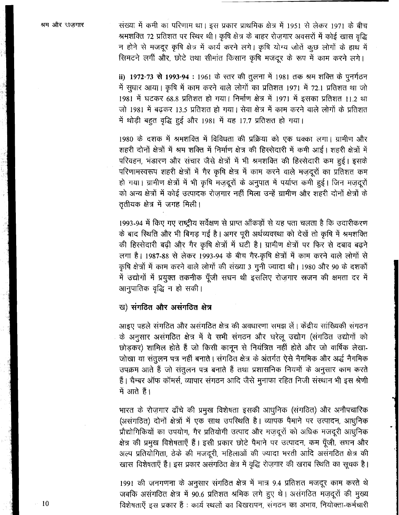संख्या में कमी का परिणाम था। इस प्रकार प्राथमिक क्षेत्र में 1951 से लेकर 1971 के बीच श्रमशक्ति 72 प्रतिशत पर स्थिर थी। कृषि क्षेत्र के बाहर रोज़गार अवसरों में कोई खास वृद्धि न होने से मजदूर कृषि क्षेत्र में कार्य करने लगे। कृषि योग्य जोतें कुछ लोगों के हाथ में सिमटने लगीं और, छोटे तथा सीमांत किसान कृषि मजदूर के रूप में काम करने लगे।

ii) 1972-73 से 1993-94 : 1961 के स्तर की तूलना में 1981 तक श्रम शक्ति के पूनर्गठन में सुधार आया। कृषि में काम करने वाले लोगों का प्रतिशत 1971 में 72.1 प्रतिशत था जो 1981 में घटकर 68.8 प्रतिशत हो गया। निर्माण क्षेत्र में 1971 में इसका प्रतिशत 11.2 था जो 1981 में बढ़कर 13.5 प्रतिशत हो गया। सेवा क्षेत्र में काम करने वाले लोगों के प्रतिशत में थोड़ी बहुत वृद्धि हुई और 1981 में यह 17.7 प्रतिशत हो गया।

1980 के दशक में श्रमशक्ति में विविधता की प्रक्रिया को एक धक्का लगा। ग्रामीण और शहरी दोनों क्षेत्रों में श्रम शक्ति में निर्माण क्षेत्र की हिस्सेदारी में कमी आई। शहरी क्षेत्रों में परिवहन, भंडारण और संचार जैसे क्षेत्रों में भी श्रमशक्ति की हिस्सेदारी कम हुई। इसके परिणामस्वरूप शहरी क्षेत्रों में गैर कृषि क्षेत्र में काम करने वाले मज़दूरों का प्रतिशत कम हो गया। ग्रामीण क्षेत्रों में भी कृषि मज़दूरों के अनुपात में पर्याप्त कमी हुई। जिन मज़दूरों को अन्य क्षेत्रों में कोई उत्पादक रोजगार नहीं मिला उन्हें ग्रामीण और शहरी दोनों क्षेत्रों के ततीयक क्षेत्र में जगह मिली।

1993-94 में किए गए राष्ट्रीय सर्वेक्षण से प्राप्त आँकड़ों से यह पता चलता है कि उदारीकरण के बाद स्थिति और भी बिगड़ गई है। अगर पूरी अर्थव्यवस्था को देखें तो कृषि में श्रमशक्ति की हिस्सेदारी बढ़ी और गैर कृषि क्षेत्रों में घटी है। ग्रामीण क्षेत्रों पर फिर से दबाव बढ़ने लगा है। 1987-88 से लेकर 1993-94 के बीच गैर-कृषि क्षेत्रों में काम करने वाले लोगों से कृषि क्षेत्रों में काम करने वाले लोगों की संख्या 3 गुनी ज्यादा थी। 1980 और 90 के दशकों में उद्योगों में प्रयुक्त तकनीक पूँजी सघन थी इसलिए रोज़गार स्रजन की क्षमता दर में आनुपातिक वृद्धि न हो सकी।

## ख) संगठित और असंगठित क्षेत्र

आइए पहले संगठित और असंगठित क्षेत्र की अवधारणा समझ लें। केंद्रीय सांख्यिकी संगठन के अनुसार असंगठित क्षेत्र में वे सभी संगठन और घरेलू उद्योग (संगठित उद्योगों को छोड़कर) शामिल होते हैं जो किसी कानून से नियंत्रित नहीं होते और जो वार्षिक लेखा-जोखा या संतुलन पत्र नहीं बनाते | संगठित क्षेत्र के अंतर्गत ऐसे नैगमिक और अर्द्ध नैगमिक उपक्रम आते हैं जो संतुलन पत्र बनाते हैं तथा प्रशासनिक नियमों के अनुसार काम करते हैं। चैम्बर ऑफ कॉमर्स, व्यापार संगठन आदि जैसे मुनाफा रहित निजी संस्थान भी इस श्रेणी में आते हैं।

भारत के रोज़गार ढाँचे की प्रमुख विशेषता इसकी आधुनिक (संगठित) और अनौपचारिक (असंगठित) दोनों क्षेत्रों में एक साथ उपस्थिति है। व्यापक पैमाने पर उत्पादन, आधुनिक प्रौद्योगिकियों का उपयोग, गैर प्रतियोगी उत्पाद और मज़दूरों को अधिक मजदूरी आधुनिक क्षेत्र की प्रमुख विशेषताएँ हैं। इसी प्रकार छोटे पैमाने पर उत्पादन, कम पूँजी, सघन और अल्प प्रतियोगिता, ठेके की मजदूरी, महिलाओं की ज्यादा भरती आदि असंगठित क्षेत्र की खास विशेषताएँ हैं। इस प्रकार असंगठित क्षेत्र में वृद्धि रोज़गार की खराब स्थिति का सूचक है।

1991 की जनगणना के अनुसार संगठित क्षेत्र में मात्र 9.4 प्रतिशत मजदूर काम करते थे जबकि असंगठित क्षेत्र में 90.6 प्रतिशत श्रमिक लगे हुए थे। असंगठित मज़दूरों की मुख्य विशेषताएँ इस प्रकार हैं: कार्य स्थलों का बिखरापन, संगठन का अभाव, नियोक्ता-कर्मचारी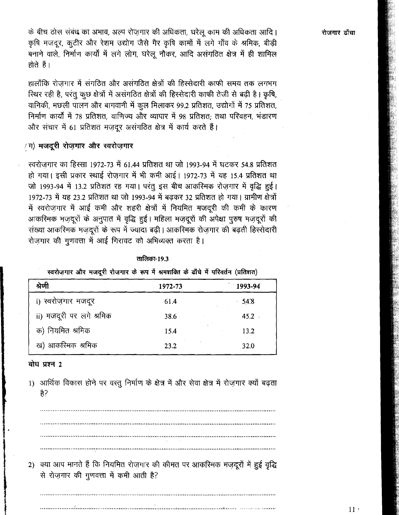के बीच ठोस संबंध का अभाव, अल्प रोज़गार की अधिकता, घरेलू काम की अधिकता आदि। कृषि मजदूर, कूटीर और रेशम उद्योग जैसे गैर कृषि कामों में लगे गाँव के श्रमिक, बीड़ी बनाने वाले, निर्माण कार्यों में लगे लोग, घरेलू नौकर, आदि असंगठित क्षेत्र में ही शामिल होते हैं।

हालाँकि रोजगार में संगठित और असंगठित क्षेत्रों की हिस्सेदारी काफी समय तक लगभग स्थिर रही है, परंतु कुछ क्षेत्रों में असंगठित क्षेत्रों की हिस्सेदारी काफी तेजी से बढ़ी है। कृषि, वानिकी, मछली पालन और बागवानी में कूल मिलाकर 99.2 प्रतिशत, उद्योगों में 75 प्रतिशत, निर्माण कार्यों में 78 प्रतिशत, वाणिज्य और व्यापार में 98 प्रतिशत: तथा परिवहन, भंडारण और संचार में 61 प्रतिशत मजदूर असंगठित क्षेत्र में कार्य करते हैं।

## /ग) मजदूरी रोज़गार और स्वरोज़गार

स्वरोजगार का हिस्सा 1972-73 में 61.44 प्रतिशत था जो 1993-94 में घटकर 54.8 प्रतिशत हो गया। इसी प्रकार स्थाई रोजगार में भी कमी आई। 1972-73 में यह 15.4 प्रतिशत था जो 1993-94 में 13.2 प्रतिशत रह गया। परंतु इस बीच आकरिमक रोजगार में वृद्धि हुई। 1972-73 में यह 23.2 प्रतिशत था जो 1993-94 में बढकर 32 प्रतिशत हो गया। ग्रामीण क्षेत्रों में स्वरोज़गार में आई कमी और शहरी क्षेत्रों में नियमित मजदूरी की कमी के कारण आकरिमक मज़दूरों के अनुपात में वृद्धि हुई। महिला मज़दूरों की अपेक्षा पुरुष मज़दूरों की संख्या आकरिमक मज़दूरों के रूप में ज्यादा बढ़ी। आकरिमक रोज़गार की बढ़ती हिस्सेदारी रोजगार की गुणवत्ता में आई गिरावट को अभिव्यक्त करता है।

तालिका-19.3

| स्वरोज़गार और मजदूरी रोज़गार के रूप में श्रमशक्ति के ढाँचे में परिवर्तन (प्रतिशत) |  |
|-----------------------------------------------------------------------------------|--|
|-----------------------------------------------------------------------------------|--|

| श्रेणी                   | 1972-73 | 1993-94 |
|--------------------------|---------|---------|
| i) स्वरोज़गार मजदूर      | 61.4    | $-54.8$ |
| ii) मजदूरी पर लगे श्रमिक | 38.6    | 45.2    |
| क) नियमित श्रमिक         | 15.4    | 13.2    |
| ख) आकरिमक श्रमिक         | 23.2    | 32.0    |

### बोध प्रश्न 2

1) आर्थिक विकास होने पर वस्तु निर्माण के क्षेत्र में और सेवा क्षेत्र में रोज़गार क्यों बढ़ता है?

2) क्या आप मानते हैं कि नियमित रोज़गार की कीमत पर आकरिमक मज़दूरों में हुई वृद्धि से रोज़गार की गुणवत्ता में कमी आती है?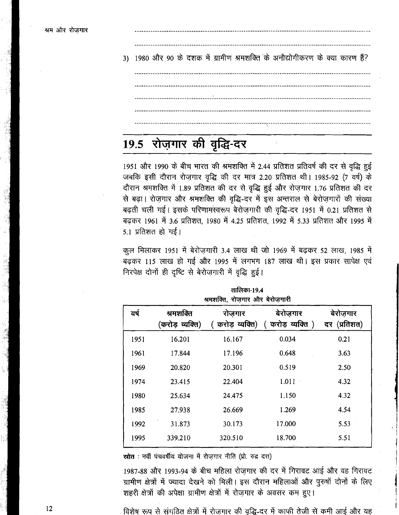3) 1980 और 90 के दशक में ग्रामीण श्रमशक्ति के अनौद्योगीकरण के क्या कारण हैं?

# 19.5 रोज़गार की वृद्धि-दर

1951 और 1990 के बीच भारत की श्रमशक्ति में 2.44 प्रतिशत प्रतिवर्ष की दर से वृद्धि हुई जबकि इसी दौरान रोज़गार वृद्धि की दर मात्र 2.20 प्रतिशत थी। 1985-92 (7 वर्ष) के दौरान श्रमशक्ति में 1.89 प्रतिशत की दर से वृद्धि हुई और रोज़गार 1.76 प्रतिशत की दर से बढ़ा। रोज़गार और श्रमशक्ति की वृद्धि-दर में इस अन्तराल से बेरोज़गारों की संख्या बढ़ती चली गई। इसके परिणामस्वरूप बेरोजगारी की वृद्धि-दर 1951 में 0.21 प्रतिशत से बढ़कर 1961 में 3.6 प्रतिशत. 1980 में 4.25 प्रतिशत. 1992 में 5.33 प्रतिशत और 1995 में  $5.1$  प्रतिशत हो गई।

कूल मिलाकर 1951 में बेरोज़गारी 3.4 लाख थी जो 1969 में बढ़कर 52 लाख, 1985 में बढ़कर 115 लाख हो गई और 1995 में लगभग 187 लाख थी। इस प्रकार सापेक्ष एवं निरपेक्ष दोनों ही दृष्टि से बेरोजगारी में वृद्धि हुई।

|      |                              | श्रमशक्ति, रोजगार और बेरोजगारी |                               |                           |
|------|------------------------------|--------------------------------|-------------------------------|---------------------------|
| यर्ष | श्रमशक्ति<br>(करोड़ व्यक्ति) | रोजगार<br>( करोड़ व्यक्ति)     | बेरोजगार<br>( करोड़ व्यक्ति ) | बेरोज़गार<br>दर (प्रतिशत) |
| 1951 | 16.201                       | 16.167                         | 0.034                         | 0.21                      |
| 1961 | 17.844                       | 17.196                         | 0.648                         | 3.63                      |
| 1969 | 20.820                       | 20.301                         | 0.519                         | 2.50                      |
| 1974 | 23.415                       | 22.404                         | 1.011                         | 4.32                      |
| 1980 | 25.634                       | 24.475                         | 1.150                         | 4.32                      |
| 1985 | 27.938                       | 26.669                         | 1.269                         | 4.54                      |
| 1992 | 31.873                       | 30.173                         | 17.000                        | 5.53                      |
| 1995 | 339.210                      | 320.510                        | 18.700                        | 5.51                      |

स्रोत : नवीं पंचवर्षीय योजना में रोजगार नीति (प्रो. रुद्र दत्त)

1987-88 और 1993-94 के बीच महिला रोज़गार की दर में गिरावट आई और वह गिरावट ग्रामीण क्षेत्रों में ज्यादा देखने को मिली। इस दौरान महिलाओं और पुरुषों दोनों के लिए शहरी क्षेत्रों की अपेक्षा ग्रामीण क्षेत्रों में रोज़गार के अवसर कम हुए।

विशेष रूप से संगठित क्षेत्रों में रोज़गार की वृद्धि-दर में काफी तेजी से कमी आई और यह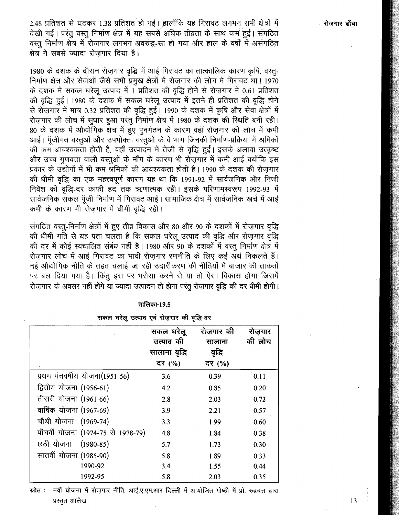2.48 प्रतिशत से घटकर 1.38 प्रतिशत हो गई। हालाँकि यह गिरावट लगभग सभी क्षेत्रों में देखी गई। परंतु वस्तु निर्माण क्षेत्र में यह सबसे अधिक तीव्रता के साथ कम हुई। संगठित वस्तु निर्माण क्षेत्र में रोजगार लगभग अवरुद्ध-सा हो गया और हाल के वर्षों में असंगठित क्षेत्र ने सबसे ज्यादा रोजगार दिया है।

1980 के दशक के दौरान रोज़गार वृद्धि में आई गिरावट का तात्कालिक कारण कृषि, वस्तु-निर्माण क्षेत्र और सेवाओं जैसे सभी प्रमुख क्षेत्रों में रोजगार की लोच में गिरावट था। 1970 के दशक में सकल घरेलू उत्पाद में 1 प्रतिशत की वृद्धि होने से रोज़गार में 0.61 प्रतिशत की वृद्धि हुई। 1980 के दशक में सकल घरेलू उत्पाद में इतने ही प्रतिशत की वृद्धि होने से रोज़गार में मात्र 0.32 प्रतिशत की वृद्धि हुई। 1990 के दशक में कृषि और सेवा क्षेत्रों में रोजगार की लोच में सुधार हुआ परंतु निर्माण क्षेत्र में 1980 के दशक की स्थिति बनी रही। 80 के दशक में औद्योगिक क्षेत्र में हुए पुनर्गठन के कारण वहाँ रोज़गार की लोच में कमी आई। पूँजीगत वस्तुओं और उपभोक्ता वस्तुओं के वे भाग जिनकी निर्माण-प्रक्रिया में श्रमिकों की कम आवश्यकता होती है, वहाँ उत्पादन में तेजी से वृद्धि हुई। इसके अलावा उत्कृष्ट और उच्च गुणवत्ता वाली वस्तुओं के माँग के कारण भी रोज़गार में कमी आई क्योंकि इस प्रकार के उद्योगों में भी कम अमिकों की आवश्यकता होती है। 1990 के दशक की रोज़गार की धीमी वृद्धि का एक महत्त्वपूर्ण कारण यह था कि 1991-92 में सार्वजनिक और निजी निवेश की वृद्धि-दर काफी हद तक ऋणात्मक रही। इसके परिणामस्वरूप 1992-93 में सार्वजनिक सकल पूँजी निर्माण में गिरावट आई। सामाजिक क्षेत्र में सार्वजनिक खर्च में आई कमी के कारण भी रोजगार में धीमी वृद्धि रही।

संगठित वस्त्-निर्माण क्षेत्रों में हुए तीव्र विकास और 80 और 90 के दशकों में रोज़गार वृद्धि की धीमी गति से यह पता चलता है कि सकल घरेलू उत्पाद की वृद्धि और रोज़गार वृद्धि की दर में कोई स्वचालित संबंध नहीं है। 1980 और 90 के दशकों में वस्तु निर्माण क्षेत्र में रोजगार लोच में आई गिरावट का भावी रोजगार रणनीति के लिए कई अर्थ निकलते हैं। नई औद्योगिक नीति के तहत चलाई जा रही उदारीकरण की नीतियों में बाजार की ताकतों पर बल दिया गया है। किंतू इस पर भरोसा करने से या तो ऐसा विकास होगा जिसमें रोजगार के अवसर नहीं होंगे या ज्यादा उत्पादन तो होगा परंतु रोजगार वृद्धि की दर धीमी होगी।

### तालिका-19.5

सकल घरेलू उत्पाद एवं रोजगार की वृद्धि-दर

|                                    | सकल घरेलू<br>उत्पाद की<br>सालाना वृद्धि<br>दर (%) | रोजगार की<br>सालाना<br>वद्धि<br>दर (%) | रोजगार<br>की लोच |
|------------------------------------|---------------------------------------------------|----------------------------------------|------------------|
| प्रथम पंचवर्षीय योजना(1951-56)     | 3.6                                               | 0.39                                   | 0.11             |
| द्वितीय योजना (1956-61)            | 4.2                                               | 0.85                                   | 0.20             |
| तीसरी योजना (1961-66)              | 2.8                                               | 2.03                                   | 0.73             |
| वार्षिक योजना (1967-69)            | 3.9                                               | 2.21                                   | 0.57             |
| चौथी योजना (1969-74)               | 3.3                                               | 1.99                                   | 0.60             |
| पाँचवीं योजना (1974-75 से 1978-79) | 4.8                                               | 1.84                                   | 0.38             |
| छठी योजना (1980-85)                | 5.7                                               | 1.73                                   | 0.30             |
| सातवीं योजना (1985-90)             | 5.8                                               | 1.89                                   | 0.33             |
| 1990-92                            | 3.4                                               | 1.55                                   | 0.44             |
| 1992-95                            | 5.8                                               | 2.03                                   | 0.35             |

नवीं योजना में रोज़गार नीति, आई.ए.एम.आर दिल्ली में आयोजित गोष्ठी में प्रो. रुद्रदत्त द्वारा स्रोत : प्रस्तुत आलेख

रोजगार ढाँचा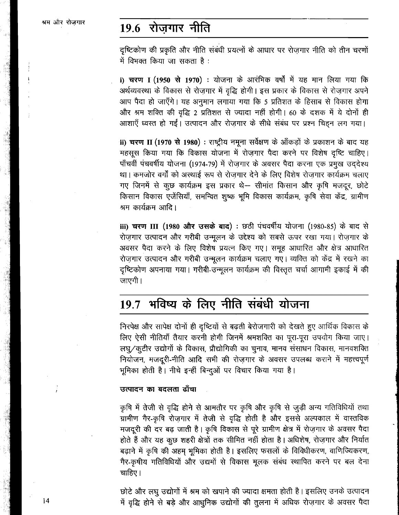# 19.6 रोजगार नीति

दृष्टिकोण की प्रकृति और नीति संबंधी प्रयत्नों के आधार पर रोज़गार नीति को तीन चरणों में विभक्त किया जा सकता है :

i) चरण I (1950 से 1970) : योजना के आरंभिक वर्षों में यह मान लिया गया कि अर्थव्यवस्था के विकास से रोज़गार में वृद्धि होगी। इस प्रकार के विकास से रोज़गार अपने आप पैदा हो जाएँगे। यह अनुमान लगाया गया कि 5 प्रतिशत के हिसाब से विकास होगा

**ii) चरण II (1970 से 1980) :** राष्ट्रीय नमूना सर्वेक्षण के आँकड़ों के प्रकाशन के बाद यह महसूस किया गया कि विकास योजना में रोज़गार पैदा करने पर विशेष दृष्टि चाहिए। आर 'त्रंग रामरा' का पृग्द्ध 2 प्रारारारा से ज्यादा गहा हागा। 60 के दराक न व दागा हा<br>आशाएँ ध्वस्त हो गईं। उत्पादन और रोज़गार के सीधे संबंध पर प्रश्न चिह्न लग गया।<br>**ii) चरण II (1970 से 1980)** : राष्ट्रीय नमूना सर्वेक्षण के था। कमजोर वर्गों को अस्थाई रूप से रोज़गार देने के लिए विशेष रोज़गार कार्यक्रम चलाए गए जिनमें से कूछ कार्यक्रम इस प्रकार थे-- सीमांत किसान और कृषि मजदूर, छोटे किसान विकास एजेंसियाँ, समन्वित शुष्क भूमि विकास कार्यक्रम, कृषि सेवा केंद्र, ग्रामीण श्रम कार्यक्रम आदि।

**iii) चरण III (1980 और उसके बाद) : छठी** पंचवर्षीय योजना (1980-85) के बाद से रोज़गार उत्पादन और गरीबी उन्मूलन के उद्देश्य को सबसे ऊपर रखा गया। रोज़गार के अवसर पैदा करने के लिए विशेष प्रयत्न किए गए। समूह आधारित और क्षेत्र आधारित रोज़गार उत्पादन और गरीबी उन्मूलन कार्यक्रम चलाए गए। व्यक्ति को केंद्र में रखने का दृष्टिकोण अपनाया गया। गरीबी-उन्मूलन कार्यक्रम की विस्तृत चर्चा आगामी इकाई में की<br>जाएगी।

# 19.7 भविष्य के लिए नीति संबंधी योजना

निरपेक्ष और सापेक्ष दोनों ही दृष्टियों से बढ़ती बेरोजगारी को देखते हुए आर्थिक विकास के लिए ऐसी नीतियाँ तैयार करनी होगी जिनमें श्रमशक्ति का पूरा-पूरा उपयोग किया जाए। लघू/कूटीर उद्योगों के विकास, प्रौद्योगिकी का चुनाव, मानव संसाधन विकास, मानवशक्ति नियोजन, मजदूरी-नीति आदि सभी की रोज़गार के अवसर उपलब्ध कराने में महत्त्वपूर्ण भूमिका होती है। नीचे इन्हीं बिन्दूओं पर विचार किया गया है।

### उत्पादन का बदलता ढाँचा

कृषि में तेजी से वृद्धि होने से आमतौर पर कृषि और कृषि से जुड़ी अन्य गतिविधियों तथा ग्रामीण गैर-कृषि रोज़गार में तेजी से वृद्धि होती है और इससे अल्पकाल में वास्तविक मजदूरी की दर बढ़ जाती है। कृषि विकास से पूरे ग्रामीण क्षेत्र में रोज़गार के अवसर पैदा होते हैं और यह कुछ शहरी क्षेत्रों तक सीमित नहीं होता है। अधिशेष, रोज़गार और निर्यात बढ़ाने में कृषि की अहम भूमिका होती है। इसलिए फसलों के विविधीकरण, वाणिज्यिकरण, गैर-कृषीय गतिविधियों और उद्यमों से विकास मूलक संबंध स्थापित करने पर बल देना चाहिए।

छोटे और लघु उद्योगों में श्रम को खपाने की ज्यादा क्षमता होती है। इसलिए उनके उत्पादन में वृद्धि होने से बड़े और आधुनिक उद्योगों की तुलना में अधिक रोजगार के अवसर पैदा

 $14$ 

 $\cdot$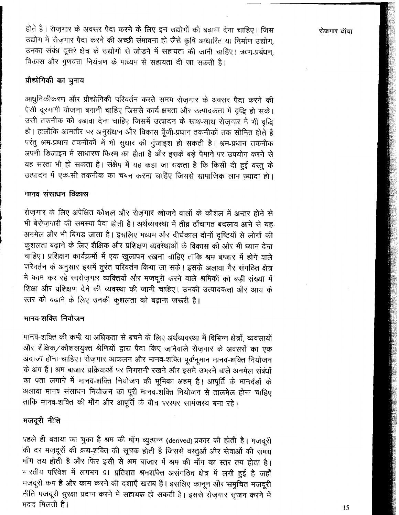रोजगार ढाँचा

होते हैं। रोज़गार के अवसर पैदा करने के लिए इन उद्योगों को बढ़ावा देना चाहिए। जिस उद्योग में रोज़गार पैदा करने की अच्छी संभावना हो जैसे कृषि आधारित या निर्माण उद्योग, उनका संबंध दूसरे क्षेत्र के उद्योगों से जोड़ने में सहायता की जानी चाहिए। ऋण-प्रबंधन, विकास और गुणवत्ता नियंत्रण के माध्यम से सहायता दी जा सकती है।

## प्रौद्योगिकी का चुनाव

आधुनिकीकरण और प्रौद्योगिकी परिवर्तन करते समय रोज़गार के अवसर पैदा करने की ऐसी दूरगामी योजना बनानी चाहिए जिससे कार्य क्षमता और उत्पादकता में वृद्धि हो सके। उसी तकनीक को बढ़ावा देना चाहिए जिसमें उत्पादन के साथ-साथ रोज़गार में भी वृद्धि हो। हालाँकि आमतौर पर अनुसंधान और विकास पूँजी-प्रधान तकनीकों तक सीमित होते हैं परंतु श्रम-प्रधान तकनीकों में भी सुधार की गुंजाइश हो सकती है। श्रम-प्रधान तकनीक अपनी डिजाइन में साधारण किस्म का होता है और इसके बड़े पैमाने पर उपयोग करने से यह सस्ता भी हो सकता है। संक्षेप में यह कहा जा सकता है कि किसी दी हुई वस्तु के उत्पादन में एक-सी तकनीक का चयन करना चाहिए जिससे सामाजिक लाभ ज़्यादा हो।

### मानव संसाधन विकास

रोजगार के लिए अपेक्षित कौशल और रोजगार खोजने वालों के कौशल में अन्तर होने से भी बेरोजगारी की समस्या पैदा होती है। अर्थव्यवस्था में तीव्र ढाँचागत बदलाव आने से यह अनमेल और भी बिगड़ जाता है। इसलिए मध्यम और दीर्घकाल दोनों दृष्टियों से लोगों की कुशलता बढ़ाने के लिए शैक्षिक और प्रशिक्षण व्यवस्थाओं के विकास की ओर भी ध्यान देना चाहिए। प्रशिक्षण कार्यक्रमों में एक खुलापन रखना चाहिए ताकि श्रम बाजार में होने वाले परिवर्तन के अनुसार इसमें तुरंत परिवर्तन किया जा सके। इसके अलावा गैर संगठित क्षेत्र में काम कर रहे स्वरोज़गार व्यक्तियों और मजदूरी करने वाले श्रमिकों को बड़ी संख्या में शिक्षा और प्रशिक्षण देने की व्यवस्था की जानी चाहिए। उनकी उत्पादकता और आय के स्तर को बढ़ाने के लिए उनकी कुशलता को बढ़ाना जरूरी है।

## मानव-शक्ति नियोजन

मानव-शक्ति की कमी या अधिकता से बचने के लिए अर्थव्यवस्था में विभिन्न क्षेत्रों, व्यवसायों और शैक्षिक/कौशलयुक्त श्रेणियों द्वारा पैदा किए जानेवाले रोज़गार के अवसरों का एक अंदाजा होना चाहिए। रोज़गार आकलन और मानव-शक्ति पूर्वानूमान मानव-शक्ति नियोजन के अंग हैं। श्रम बाजार प्रक्रियाओं पर निगरानी रखने और इसमें उभरने वाले अनमेल संबंधों का पता लगाने में मानव-शक्ति नियोजन की भूमिका अहम् है। आपूर्ति के मानदंडों के अलावा मानव संसाधन नियोजन का पूरी मानव-शक्ति नियोजन से तालमेल होना चाहिए ताकि मानव-शक्ति की माँग और आपूर्ति के बीच परस्पर सामंजस्य बना रहे।

## मजदूरी नीति

पहले ही बताया जा चुका है श्रम की माँग व्युत्पन्न (derived) प्रकार की होती है। मजदूरी की दर मज़दूरों की क्रय-शक्ति की सूचक होती है जिससे वस्तुओं और सेवाओं की समग्र माँग तय होती है और फिर इसी से श्रम बाजार में श्रम की माँग का स्तर तय होता है। भारतीय परिवेश में लगभग 91 प्रतिशत श्रमशक्ति असंगठित क्षेत्र में लगी हुई है जहाँ मजदूरी कम है और काम करने की दशाएँ खराब हैं। इसलिए कानून और समुचित मजदूरी नीति मजदूरी सुरक्षा प्रदान करने में सहायक हो सकती है। इससे रोज़गार सृजन करने में मदद मिलती है।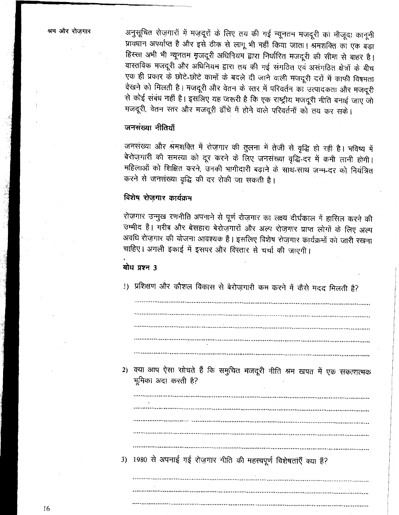अनुसूचित रोज़गारों में मज़दूरों के लिए तय की गई न्यूनतम मजदूरी का मौजूदा कानूनी प्रावधान अपर्याप्त है और इसे ठीक से लागू भी नहीं किया जाता। श्रमशक्ति का एक बड़ा हिस्सा अभी भी न्यूनतम मुजदूरी अधिनियम द्वारा निर्धारित मजदूरी की सीमा से बाहर है। वास्तविक मजदूरी और अधिनियम द्वारा तय की गई संगठित एवं असंगठित क्षेत्रों के बीच एक ही प्रकार के छोटे-छोटे कामों के बदले दी जाने वाली मजदूरी दरों में काफी विषमता देखने को मिलती है। मजदूरी और वेतन के स्तर में परिवर्तन का उत्पादकता और मजदूरी से कोई संबंध नहीं है। इसलिए यह जरूरी है कि एक राष्ट्रीय मजदूरी नीति बनाई जाए जो मजदूरी, वेतन स्तर और मजदूरी ढाँचे में होने वाले परिवर्तनों को तय कर सके।

## जनसंख्या नीतियाँ

जनसंख्या और श्रमशक्ति में रोज़गार की तुलना में तेजी से वृद्धि हो रही है। भविष्य में बेरोज़गारी की समस्या को दूर करने के लिए जनसंख्या वृद्धि-दर में कमी लानी होगी। महिलाओं को शिक्षित करने, उनकी भागीदारी बढ़ाने के साथ-साथ जन्म-दर को नियंत्रित करने से जनसंख्या वृद्धि की दर रोकी जा सकती है।

### विशेष रोजगार कार्यक्रम

रोज़गार उन्मुख रणनीति अपनाने से पूर्ण रोज़गार का लक्ष्य दीर्घकाल में हासिल करने की उम्मीद है। गरीब और बेसहारा बेरोज़गारों और अल्प रोज़गार प्राप्त लोगों के लिए अल्प अवधि रोज़गार की योजना आवश्यक हैं। इसलिए विशेष रोज़गार कार्यक्रमों को जारी रखना चाहिए। अगली इकाई में इसपर और विस्तार से चर्चा की जाएगी।

### बोध प्रश्न 3

1) प्रशिक्षण और कौशल विकास से बेरोज़गारी कम करने में कैसे मदद मिलती है?

2) क्या आप ऐसा सोचते हैं कि समुचित मजदूरी नीति श्रम खपत में एक सकारात्मक भूमिका अदा करती है?

3) 1980 से अपनाई गई रोज़गार नीति की महत्त्वपूर्ण विशेषतांएँ क्या हैं?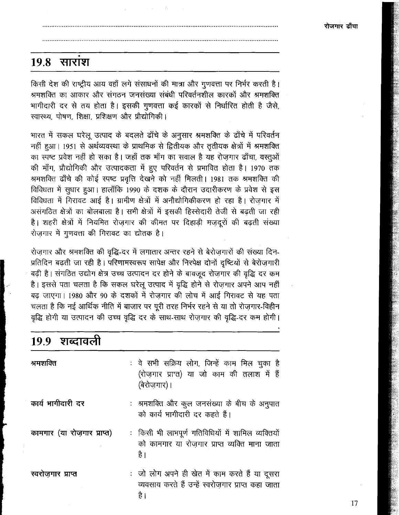#### 19.8 साराश

किसी देश की राष्ट्रीय आय वहाँ लगे संसाधनों की मात्रा और गुणवत्ता पर निर्भर करती है। श्रमशक्ति का आकार और संगठन जनसंख्या संबंधी परिवर्तनशील कारकों और श्रमशक्ति भागीदारी दर से तय होता है। इसकी गुणवत्ता कई कारकों से निर्धारित होती है जैसे. रवास्थ्य, पोषण, शिक्षा, प्रशिक्षण और प्रौद्योगिकी।

भारत में सकल घरेलू उत्पाद के बदलते ढाँचे के अनुसार श्रमशक्ति के ढाँचे में परिवर्तन नहीं हुआ। 1951 से अर्थव्यवस्था के प्राथमिक से द्वितीयक और तृतीयक क्षेत्रों में श्रमशक्ति का स्पष्ट प्रवेश नहीं हो सका है। जहाँ तक माँग का सवाल है यह रोजगार ढाँचा, वस्तुओं की माँग, प्रौद्योगिकी और उत्पादकता में हुए परिवर्तन से प्रभावित होता है। 1970 तक श्रमशक्ति ढाँचे की कोई स्पष्ट प्रवृत्ति देखने को नहीं मिलती। 1981 तक श्रमशक्ति की विविधता में सुधार हुआ। हालाँकि 1990 के दशक के दौरान उदारीकरण के प्रवेश से इस विविधता में गिरावट आई है। ग्रामीण क्षेत्रों में अनौद्योगिकीकरण हो रहा है। रोजगार में असंगठित क्षेत्रों का बोलबाला है। सभी क्षेत्रों में इसकी हिस्सेदारी तेजी से बढ़ती जा रही है। शहरी क्षेत्रों में नियमित रोजगार की कीमत पर दिहाडी मजदूरों की बढती संख्या रोजगार में गुणवत्ता की गिरावट का द्योतक है।

रोज़गार और श्रमशक्ति की वृद्धि-दर में लगातार अन्तर रहने से बेरोज़गारों की संख्या दिन-प्रतिदिन बढ़ती जा रही है। परिणामस्वरूप सापेक्ष और निरपेक्ष दोनों दृष्टियों से बेरोज़गारी बढ़ी है। संगठित उद्योग क्षेत्र उच्च उत्पादन दर होने के बावजूद रोज़गार की वृद्धि दर कम है। इससे पता चलता है कि सकल घरेलू उत्पाद में वृद्धि होने से रोज़गार अपने आप नहीं बढ़ जाएगा। 1980 और 90 के दशकों में रोजगार की लोच में आई गिरावट से यह पता चलता है कि नई आर्थिक नीति में बाजार पर पूरी तरह निर्भर रहने से या तो रोजगार-विहीन वृद्धि होगी या उत्पादन की उच्च वृद्धि दर के साथ-साथ रोज़गार की वृद्धि-दर कम होगी।

| 19.9 शब्दावली              |                                                                                                              |
|----------------------------|--------------------------------------------------------------------------------------------------------------|
| श्रमशक्ति                  | : वे सभी सक्रिय लोग, जिन्हें काम मिल चुका है<br>(रोज़गार प्राप्त) या जो काम की तलाश में हैं<br>(बेरोजगार)।   |
| कार्य भागीदारी दर          | : श्रमशक्ति और कूल जनसंख्या के बीच के अनुपात<br>को कार्य भागीदारी दर कहते हैं।                               |
| कामगार (या रोजगार प्राप्त) | : किसी भी लाभपूर्ण गतिविधियों में शामिल व्यक्तियों<br>को कामगार या रोजगार प्राप्त व्यक्ति माना जाता<br>है।   |
| स्वरोजगार प्राप्त          | : जो लोग अपने ही खेत में काम करते हैं या दूसरा<br>व्यवसाय करते हैं उन्हें स्वरोजगार प्राप्त कहा जाता<br>है । |